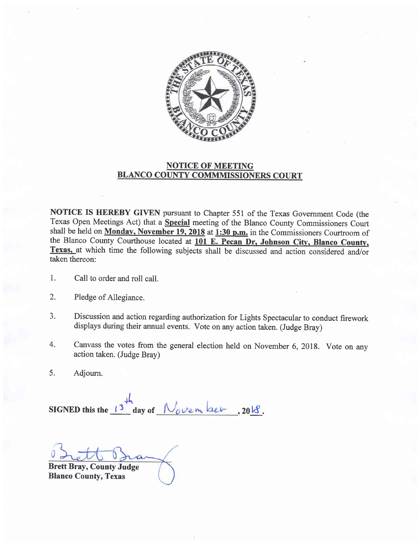

## NOTICE OF MEETING BLANCO COUNTY COMMMISSIONERS COURT

NOTICE IS HEREBY GIVEN pursuant to Chapter 551 of the Texas Govemment Code (the Texas Open Meetings Act) that a Special meeting of the Blanco County Commissioners Court shall be held on Monday, November 19, 2018 at 1:30 p.m. in the Commissioners Courtroom of the Blanco County Courthouse located at 101 E. Pecan Dr, Johnson City, Blanco County, Texas, at which time the following subjects shall be discussed and action considered and/or taken thereon: taken thereon:

- 1. Call to order and roll call.
- 2. Pledge of Allegiance.
- 3. Discussion and action regarding authorization for Lights Spectacular to conduct firework displays during their annual events. Vote on any action taken. (Judge Bray)
- 4. Canvass the votes from the general election held on November 6,2018. Vote on any action taken. (Judge Bray)
- 5. Adjourn.

SIGNED this the  $\frac{13}{10}$  day of November, 2018.

Brett Bray, County Judge Blanco County, Texas